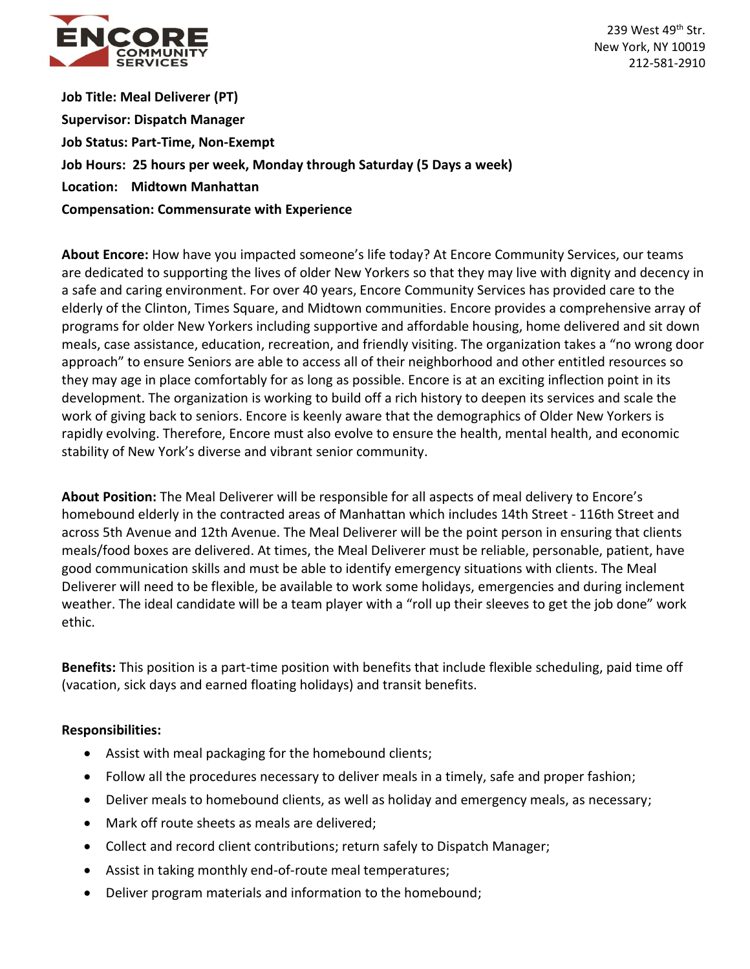

239 West 49<sup>th</sup> Str. New York, NY 10019 212-581-2910

**Job Title: Meal Deliverer (PT) Supervisor: Dispatch Manager Job Status: Part-Time, Non-Exempt Job Hours: 25 hours per week, Monday through Saturday (5 Days a week) Location: Midtown Manhattan Compensation: Commensurate with Experience**

**About Encore:** How have you impacted someone's life today? At Encore Community Services, our teams are dedicated to supporting the lives of older New Yorkers so that they may live with dignity and decency in a safe and caring environment. For over 40 years, Encore Community Services has provided care to the elderly of the Clinton, Times Square, and Midtown communities. Encore provides a comprehensive array of programs for older New Yorkers including supportive and affordable housing, home delivered and sit down meals, case assistance, education, recreation, and friendly visiting. The organization takes a "no wrong door approach" to ensure Seniors are able to access all of their neighborhood and other entitled resources so they may age in place comfortably for as long as possible. Encore is at an exciting inflection point in its development. The organization is working to build off a rich history to deepen its services and scale the work of giving back to seniors. Encore is keenly aware that the demographics of Older New Yorkers is rapidly evolving. Therefore, Encore must also evolve to ensure the health, mental health, and economic stability of New York's diverse and vibrant senior community.

**About Position:** The Meal Deliverer will be responsible for all aspects of meal delivery to Encore's homebound elderly in the contracted areas of Manhattan which includes 14th Street - 116th Street and across 5th Avenue and 12th Avenue. The Meal Deliverer will be the point person in ensuring that clients meals/food boxes are delivered. At times, the Meal Deliverer must be reliable, personable, patient, have good communication skills and must be able to identify emergency situations with clients. The Meal Deliverer will need to be flexible, be available to work some holidays, emergencies and during inclement weather. The ideal candidate will be a team player with a "roll up their sleeves to get the job done" work ethic.

**Benefits:** This position is a part-time position with benefits that include flexible scheduling, paid time off (vacation, sick days and earned floating holidays) and transit benefits.

## **Responsibilities:**

- Assist with meal packaging for the homebound clients;
- Follow all the procedures necessary to deliver meals in a timely, safe and proper fashion;
- Deliver meals to homebound clients, as well as holiday and emergency meals, as necessary;
- Mark off route sheets as meals are delivered:
- Collect and record client contributions; return safely to Dispatch Manager;
- Assist in taking monthly end-of-route meal temperatures;
- Deliver program materials and information to the homebound;